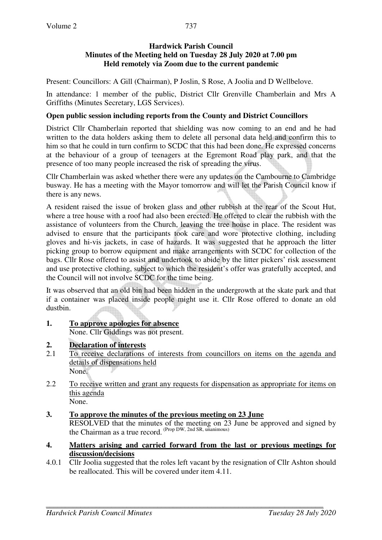737

Present: Councillors: A Gill (Chairman), P Joslin, S Rose, A Joolia and D Wellbelove.

In attendance: 1 member of the public, District Cllr Grenville Chamberlain and Mrs A Griffiths (Minutes Secretary, LGS Services).

## **Open public session including reports from the County and District Councillors**

District Cllr Chamberlain reported that shielding was now coming to an end and he had written to the data holders asking them to delete all personal data held and confirm this to him so that he could in turn confirm to SCDC that this had been done. He expressed concerns at the behaviour of a group of teenagers at the Egremont Road play park, and that the presence of too many people increased the risk of spreading the virus.

Cllr Chamberlain was asked whether there were any updates on the Cambourne to Cambridge busway. He has a meeting with the Mayor tomorrow and will let the Parish Council know if there is any news.

A resident raised the issue of broken glass and other rubbish at the rear of the Scout Hut, where a tree house with a roof had also been erected. He offered to clear the rubbish with the assistance of volunteers from the Church, leaving the tree house in place. The resident was advised to ensure that the participants took care and wore protective clothing, including gloves and hi-vis jackets, in case of hazards. It was suggested that he approach the litter picking group to borrow equipment and make arrangements with SCDC for collection of the bags. Cllr Rose offered to assist and undertook to abide by the litter pickers' risk assessment and use protective clothing, subject to which the resident's offer was gratefully accepted, and the Council will not involve SCDC for the time being.

It was observed that an old bin had been hidden in the undergrowth at the skate park and that if a container was placed inside people might use it. Cllr Rose offered to donate an old dustbin.

**1. To approve apologies for absence** None. Cllr Giddings was not present.

# **2. Declaration of interests**

- 2.1 To receive declarations of interests from councillors on items on the agenda and details of dispensations held None.
- 2.2 To receive written and grant any requests for dispensation as appropriate for items on this agenda None.
- **3. To approve the minutes of the previous meeting on 23 June**  RESOLVED that the minutes of the meeting on 23 June be approved and signed by the Chairman as a true record. (Prop DW, 2nd SR, unanimous)
- **4. Matters arising and carried forward from the last or previous meetings for discussion/decisions**
- 4.0.1 Cllr Joolia suggested that the roles left vacant by the resignation of Cllr Ashton should be reallocated. This will be covered under item 4.11.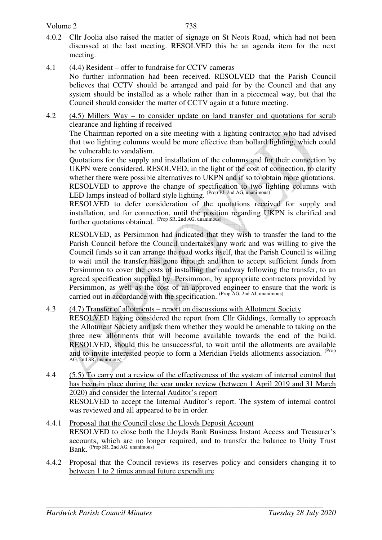- 4.0.2 Cllr Joolia also raised the matter of signage on St Neots Road, which had not been discussed at the last meeting. RESOLVED this be an agenda item for the next meeting.
- 4.1 (4.4) Resident offer to fundraise for CCTV cameras No further information had been received. RESOLVED that the Parish Council believes that CCTV should be arranged and paid for by the Council and that any system should be installed as a whole rather than in a piecemeal way, but that the Council should consider the matter of CCTV again at a future meeting.
- 4.2 (4.5) Millers Way to consider update on land transfer and quotations for scrub clearance and lighting if received

The Chairman reported on a site meeting with a lighting contractor who had advised that two lighting columns would be more effective than bollard lighting, which could be vulnerable to vandalism.

Quotations for the supply and installation of the columns and for their connection by UKPN were considered. RESOLVED, in the light of the cost of connection, to clarify whether there were possible alternatives to UKPN and if so to obtain more quotations. RESOLVED to approve the change of specification to two lighting columns with LED lamps instead of bollard style lighting. (Prop PJ, 2nd AG, unanimous)

 RESOLVED to defer consideration of the quotations received for supply and installation, and for connection, until the position regarding UKPN is clarified and further quotations obtained. <sup>(Prop SR, 2nd AG, unanimous)</sup>

RESOLVED, as Persimmon had indicated that they wish to transfer the land to the Parish Council before the Council undertakes any work and was willing to give the Council funds so it can arrange the road works itself, that the Parish Council is willing to wait until the transfer has gone through and then to accept sufficient funds from Persimmon to cover the costs of installing the roadway following the transfer, to an agreed specification supplied by Persimmon, by appropriate contractors provided by Persimmon, as well as the cost of an approved engineer to ensure that the work is carried out in accordance with the specification. (Prop AG, 2nd AJ, unanimous)

4.3 (4.7) Transfer of allotments – report on discussions with Allotment Society

RESOLVED having considered the report from Cllr Giddings, formally to approach the Allotment Society and ask them whether they would be amenable to taking on the three new allotments that will become available towards the end of the build. RESOLVED, should this be unsuccessful, to wait until the allotments are available and to invite interested people to form a Meridian Fields allotments association. (Prop AG, 2nd SR, unanimous)

- 4.4 (5.5) To carry out a review of the effectiveness of the system of internal control that has been in place during the year under review (between 1 April 2019 and 31 March 2020) and consider the Internal Auditor's report RESOLVED to accept the Internal Auditor's report. The system of internal control was reviewed and all appeared to be in order.
- 4.4.1 Proposal that the Council close the Lloyds Deposit Account RESOLVED to close both the Lloyds Bank Business Instant Access and Treasurer's accounts, which are no longer required, and to transfer the balance to Unity Trust Bank. (Prop SR, 2nd AG, unanimous)
- 4.4.2 Proposal that the Council reviews its reserves policy and considers changing it to between 1 to 2 times annual future expenditure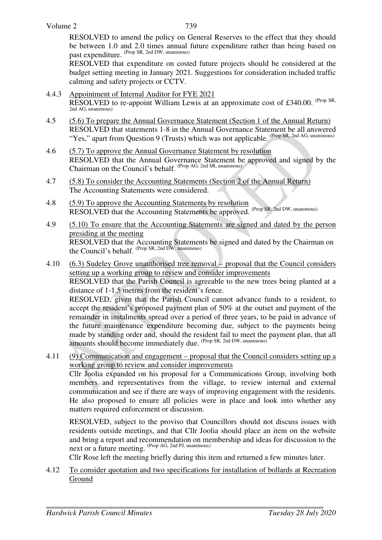RESOLVED to amend the policy on General Reserves to the effect that they should be between 1.0 and 2.0 times annual future expenditure rather than being based on past expenditure. (Prop SR, 2nd DW, unanimous)

RESOLVED that expenditure on costed future projects should be considered at the budget setting meeting in January 2021. Suggestions for consideration included traffic calming and safety projects or CCTV.

- 4.4.3 Appointment of Internal Auditor for FYE 2021 RESOLVED to re-appoint William Lewis at an approximate cost of £340.00. (Prop SR, 2nd AG, unanimous)
- 4.5 (5.6) To prepare the Annual Governance Statement (Section 1 of the Annual Return) RESOLVED that statements 1-8 in the Annual Governance Statement be all answered "Yes," apart from Question 9 (Trusts) which was not applicable. (Prop SR, 2nd AG, unanimous)
- 4.6 (5.7) To approve the Annual Governance Statement by resolution RESOLVED that the Annual Governance Statement be approved and signed by the Chairman on the Council's behalf. (Prop AG, 2nd SR, unanimous)
- 4.7 (5.8) To consider the Accounting Statements (Section 2 of the Annual Return) The Accounting Statements were considered.
- 4.8 (5.9) To approve the Accounting Statements by resolution RESOLVED that the Accounting Statements be approved. (Prop SR, 2nd DW, unanimous)
- 4.9 (5.10) To ensure that the Accounting Statements are signed and dated by the person presiding at the meeting RESOLVED that the Accounting Statements be signed and dated by the Chairman on the Council's behalf. (Prop SR, 2nd DW, unanimous)
- 4.10 (6.3) Sudeley Grove unauthorised tree removal proposal that the Council considers setting up a working group to review and consider improvements RESOLVED that the Parish Council is agreeable to the new trees being planted at a distance of 1-1.5 metres from the resident's fence. RESOLVED, given that the Parish Council cannot advance funds to a resident, to accept the resident's proposed payment plan of 50% at the outset and payment of the remainder in instalments spread over a period of three years, to be paid in advance of the future maintenance expenditure becoming due, subject to the payments being made by standing order and, should the resident fail to meet the payment plan, that all amounts should become immediately due. <sup>(Prop SR, 2nd DW, unanimous)</sup>
- 4.11 (9) Communication and engagement proposal that the Council considers setting up a working group to review and consider improvements Cllr Joolia expanded on his proposal for a Communications Group, involving both members and representatives from the village, to review internal and external communication and see if there are ways of improving engagement with the residents. He also proposed to ensure all policies were in place and look into whether any matters required enforcement or discussion.

RESOLVED, subject to the proviso that Councillors should not discuss issues with residents outside meetings, and that Cllr Joolia should place an item on the website and bring a report and recommendation on membership and ideas for discussion to the next or a future meeting. (Prop AG, 2nd PJ, unanimous)

Cllr Rose left the meeting briefly during this item and returned a few minutes later.

4.12 To consider quotation and two specifications for installation of bollards at Recreation Ground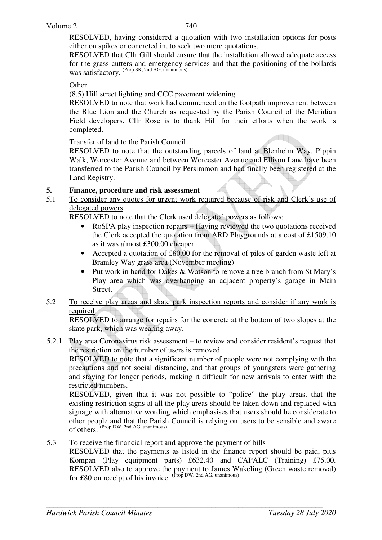RESOLVED, having considered a quotation with two installation options for posts either on spikes or concreted in, to seek two more quotations.

RESOLVED that Cllr Gill should ensure that the installation allowed adequate access for the grass cutters and emergency services and that the positioning of the bollards was satisfactory. (Prop SR, 2nd AG, unanimous)

#### **Other**

(8.5) Hill street lighting and CCC pavement widening

 RESOLVED to note that work had commenced on the footpath improvement between the Blue Lion and the Church as requested by the Parish Council of the Meridian Field developers. Cllr Rose is to thank Hill for their efforts when the work is completed.

Transfer of land to the Parish Council

RESOLVED to note that the outstanding parcels of land at Blenheim Way, Pippin Walk, Worcester Avenue and between Worcester Avenue and Ellison Lane have been transferred to the Parish Council by Persimmon and had finally been registered at the Land Registry.

#### **5. Finance, procedure and risk assessment**

5.1 To consider any quotes for urgent work required because of risk and Clerk's use of delegated powers

RESOLVED to note that the Clerk used delegated powers as follows:

- RoSPA play inspection repairs Having reviewed the two quotations received the Clerk accepted the quotation from ARD Playgrounds at a cost of £1509.10 as it was almost £300.00 cheaper.
- Accepted a quotation of £80.00 for the removal of piles of garden waste left at Bramley Way grass area (November meeting)
- Put work in hand for Oakes & Watson to remove a tree branch from St Mary's Play area which was overhanging an adjacent property's garage in Main Street.
- 5.2 To receive play areas and skate park inspection reports and consider if any work is required

RESOLVED to arrange for repairs for the concrete at the bottom of two slopes at the skate park, which was wearing away.

#### 5.2.1 Play area Coronavirus risk assessment – to review and consider resident's request that the restriction on the number of users is removed

RESOLVED to note that a significant number of people were not complying with the precautions and not social distancing, and that groups of youngsters were gathering and staying for longer periods, making it difficult for new arrivals to enter with the restricted numbers.

RESOLVED, given that it was not possible to "police" the play areas, that the existing restriction signs at all the play areas should be taken down and replaced with signage with alternative wording which emphasises that users should be considerate to other people and that the Parish Council is relying on users to be sensible and aware of others. (Prop DW, 2nd AG, unanimous)

5.3 To receive the financial report and approve the payment of bills

RESOLVED that the payments as listed in the finance report should be paid, plus Kompan (Play equipment parts) £632.40 and CAPALC (Training) £75.00. RESOLVED also to approve the payment to James Wakeling (Green waste removal) for £80 on receipt of his invoice.  $(\text{Prop } DW$ , 2nd AG, unanimous)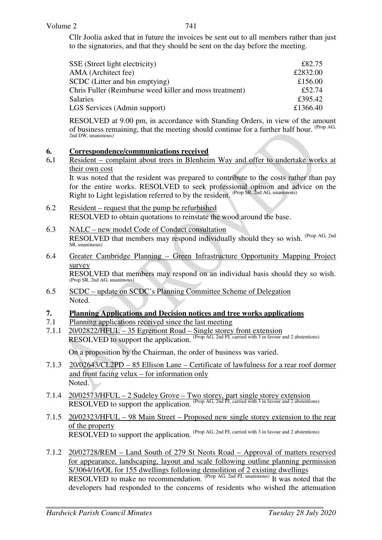Cllr Joolia asked that in future the invoices be sent out to all members rather than just to the signatories, and that they should be sent on the day before the meeting.

| SSE (Street light electricity)                          | £82.75   |
|---------------------------------------------------------|----------|
| AMA (Architect fee)                                     | £2832.00 |
| SCDC (Litter and bin emptying)                          | £156.00  |
| Chris Fuller (Reimburse weed killer and moss treatment) | £52.74   |
| <b>Salaries</b>                                         | £395.42  |
| LGS Services (Admin support)                            | £1366.40 |

RESOLVED at 9.00 pm, in accordance with Standing Orders, in view of the amount of business remaining, that the meeting should continue for a further half hour. (Prop AG, 2nd DW, unanimous)

## **6. Correspondence/communications received**

6**.**1 Resident – complaint about trees in Blenheim Way and offer to undertake works at their own cost

 It was noted that the resident was prepared to contribute to the costs rather than pay for the entire works. RESOLVED to seek professional opinion and advice on the Right to Light legislation referred to by the resident. (Prop SR, 2nd AG, unanimous)

- 6.2 Resident request that the pump be refurbished RESOLVED to obtain quotations to reinstate the wood around the base.
- 6.3 NALC new model Code of Conduct consultation RESOLVED that members may respond individually should they so wish. <sup>(Prop AG, 2nd</sup>) SR, unanimous)
- 6.4 Greater Cambridge Planning Green Infrastructure Opportunity Mapping Project survey RESOLVED that members may respond on an individual basis should they so wish. (Prop SR, 2nd AG, unanimous)
- 6.5 SCDC update on SCDC's Planning Committee Scheme of Delegation Noted.

## **7. Planning Applications and Decision notices and tree works applications**

- 7.1 Planning applications received since the last meeting
- 7.1.1 20/02822/HFUL 35 Egremont Road Single storey front extension RESOLVED to support the application. (Prop AG, 2nd PJ, carried with 3 in favour and 2 abstentions) On a proposition by the Chairman, the order of business was varied.
- 7.1.3 20/02643/CL2PD 85 Ellison Lane Certificate of lawfulness for a rear roof dormer and front facing velux – for information only Noted.
- 7.1.4 20/02573/HFUL 2 Sudeley Grove Two storey, part single storey extension RESOLVED to support the application. (Prop AG, 2nd PJ, carried with 3 in favour and 2 abstentions)
- 7.1.5 20/02323/HFUL 98 Main Street Proposed new single storey extension to the rear of the property RESOLVED to support the application. (Prop AG, 2nd PJ, carried with 3 in favour and 2 abstentions)
- 7.1.2 20/02728/REM Land South of 279 St Neots Road Approval of matters reserved for appearance, landscaping, layout and scale following outline planning permission S/3064/16/OL for 155 dwellings following demolition of 2 existing dwellings RESOLVED to make no recommendation. (Prop AG, 2nd PJ, unanimous) It was noted that the developers had responded to the concerns of residents who wished the attenuation